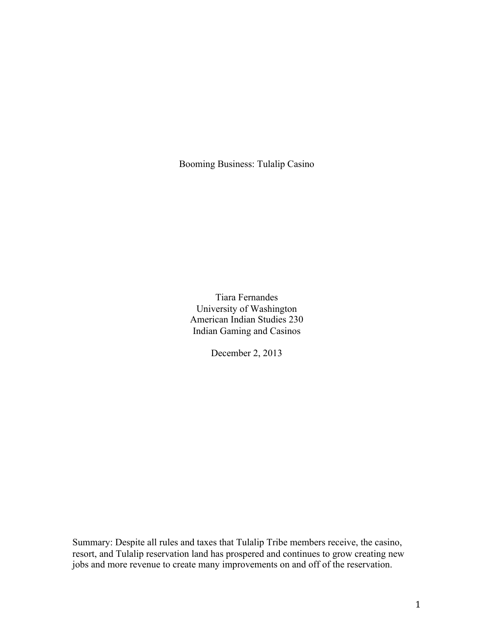Booming Business: Tulalip Casino

Tiara Fernandes University of Washington American Indian Studies 230 Indian Gaming and Casinos

December 2, 2013

Summary: Despite all rules and taxes that Tulalip Tribe members receive, the casino, resort, and Tulalip reservation land has prospered and continues to grow creating new jobs and more revenue to create many improvements on and off of the reservation.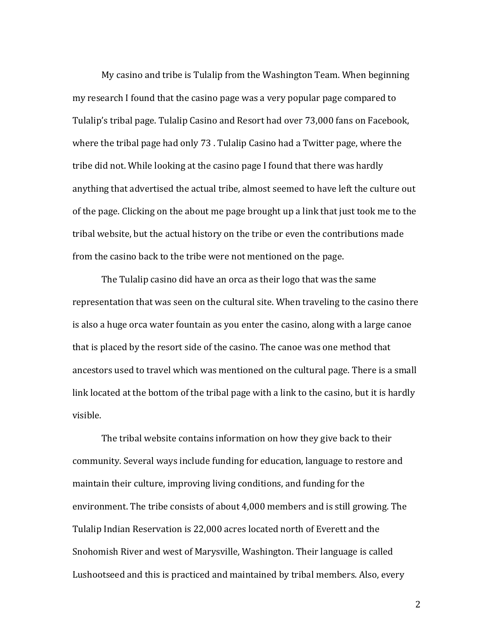My casino and tribe is Tulalip from the Washington Team. When beginning my research I found that the casino page was a very popular page compared to Tulalip's tribal page. Tulalip Casino and Resort had over 73,000 fans on Facebook, where the tribal page had only 73. Tulalip Casino had a Twitter page, where the tribe did not. While looking at the casino page I found that there was hardly anything that advertised the actual tribe, almost seemed to have left the culture out of the page. Clicking on the about me page brought up a link that just took me to the tribal website, but the actual history on the tribe or even the contributions made from the casino back to the tribe were not mentioned on the page.

The Tulalip casino did have an orca as their logo that was the same representation that was seen on the cultural site. When traveling to the casino there is also a huge orca water fountain as you enter the casino, along with a large canoe that is placed by the resort side of the casino. The canoe was one method that ancestors used to travel which was mentioned on the cultural page. There is a small link located at the bottom of the tribal page with a link to the casino, but it is hardly visible. 

The tribal website contains information on how they give back to their community. Several ways include funding for education, language to restore and maintain their culture, improving living conditions, and funding for the environment. The tribe consists of about 4,000 members and is still growing. The Tulalip Indian Reservation is 22,000 acres located north of Everett and the Snohomish River and west of Marysville, Washington. Their language is called Lushootseed and this is practiced and maintained by tribal members. Also, every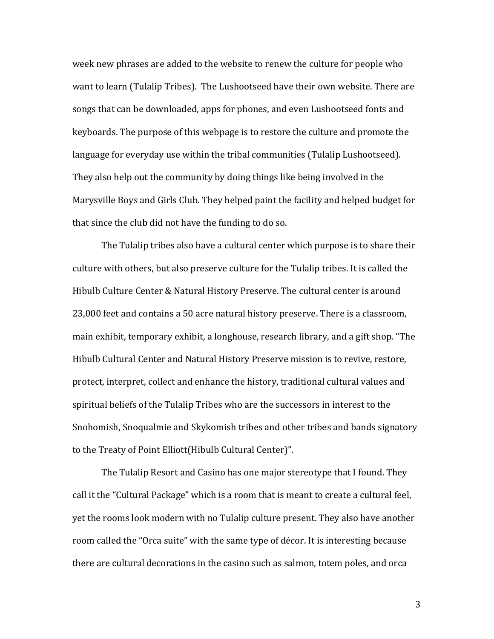week new phrases are added to the website to renew the culture for people who want to learn (Tulalip Tribes). The Lushootseed have their own website. There are songs that can be downloaded, apps for phones, and even Lushootseed fonts and keyboards. The purpose of this webpage is to restore the culture and promote the language for everyday use within the tribal communities (Tulalip Lushootseed). They also help out the community by doing things like being involved in the Marysville Boys and Girls Club. They helped paint the facility and helped budget for that since the club did not have the funding to do so.

The Tulalip tribes also have a cultural center which purpose is to share their culture with others, but also preserve culture for the Tulalip tribes. It is called the Hibulb Culture Center & Natural History Preserve. The cultural center is around 23,000 feet and contains a 50 acre natural history preserve. There is a classroom, main exhibit, temporary exhibit, a longhouse, research library, and a gift shop. "The Hibulb Cultural Center and Natural History Preserve mission is to revive, restore, protect, interpret, collect and enhance the history, traditional cultural values and spiritual beliefs of the Tulalip Tribes who are the successors in interest to the Snohomish, Snoqualmie and Skykomish tribes and other tribes and bands signatory to the Treaty of Point Elliott(Hibulb Cultural Center)".

The Tulalip Resort and Casino has one major stereotype that I found. They call it the "Cultural Package" which is a room that is meant to create a cultural feel, yet the rooms look modern with no Tulalip culture present. They also have another room called the "Orca suite" with the same type of décor. It is interesting because there are cultural decorations in the casino such as salmon, totem poles, and orca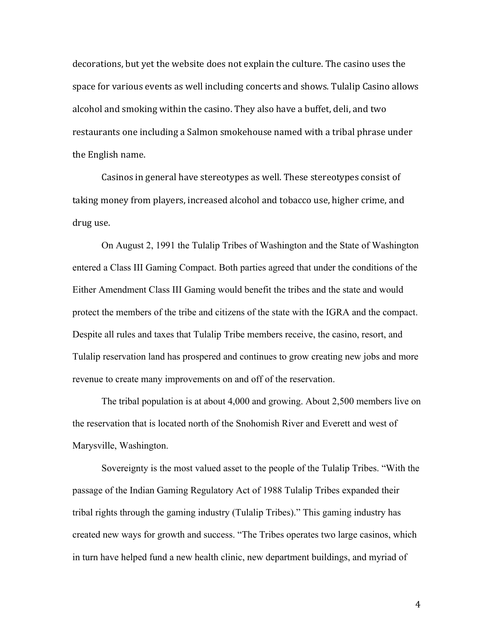decorations, but yet the website does not explain the culture. The casino uses the space for various events as well including concerts and shows. Tulalip Casino allows alcohol and smoking within the casino. They also have a buffet, deli, and two restaurants one including a Salmon smokehouse named with a tribal phrase under the English name.

Casinos in general have stereotypes as well. These stereotypes consist of taking money from players, increased alcohol and tobacco use, higher crime, and drug use.

On August 2, 1991 the Tulalip Tribes of Washington and the State of Washington entered a Class III Gaming Compact. Both parties agreed that under the conditions of the Either Amendment Class III Gaming would benefit the tribes and the state and would protect the members of the tribe and citizens of the state with the IGRA and the compact. Despite all rules and taxes that Tulalip Tribe members receive, the casino, resort, and Tulalip reservation land has prospered and continues to grow creating new jobs and more revenue to create many improvements on and off of the reservation.

The tribal population is at about 4,000 and growing. About 2,500 members live on the reservation that is located north of the Snohomish River and Everett and west of Marysville, Washington.

Sovereignty is the most valued asset to the people of the Tulalip Tribes. "With the passage of the Indian Gaming Regulatory Act of 1988 Tulalip Tribes expanded their tribal rights through the gaming industry (Tulalip Tribes)." This gaming industry has created new ways for growth and success. "The Tribes operates two large casinos, which in turn have helped fund a new health clinic, new department buildings, and myriad of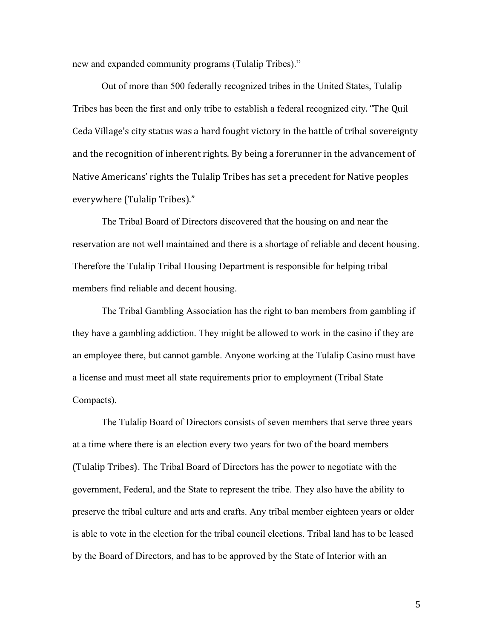new and expanded community programs (Tulalip Tribes)."

Out of more than 500 federally recognized tribes in the United States, Tulalip Tribes has been the first and only tribe to establish a federal recognized city. "The Quil Ceda Village's city status was a hard fought victory in the battle of tribal sovereignty and the recognition of inherent rights. By being a forerunner in the advancement of Native Americans' rights the Tulalip Tribes has set a precedent for Native peoples everywhere (Tulalip Tribes)."

The Tribal Board of Directors discovered that the housing on and near the reservation are not well maintained and there is a shortage of reliable and decent housing. Therefore the Tulalip Tribal Housing Department is responsible for helping tribal members find reliable and decent housing.

The Tribal Gambling Association has the right to ban members from gambling if they have a gambling addiction. They might be allowed to work in the casino if they are an employee there, but cannot gamble. Anyone working at the Tulalip Casino must have a license and must meet all state requirements prior to employment (Tribal State Compacts).

The Tulalip Board of Directors consists of seven members that serve three years at a time where there is an election every two years for two of the board members (Tulalip Tribes). The Tribal Board of Directors has the power to negotiate with the government, Federal, and the State to represent the tribe. They also have the ability to preserve the tribal culture and arts and crafts. Any tribal member eighteen years or older is able to vote in the election for the tribal council elections. Tribal land has to be leased by the Board of Directors, and has to be approved by the State of Interior with an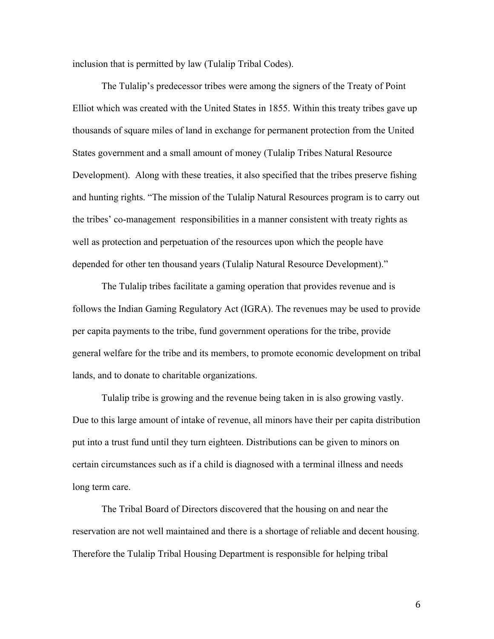inclusion that is permitted by law (Tulalip Tribal Codes).

The Tulalip's predecessor tribes were among the signers of the Treaty of Point Elliot which was created with the United States in 1855. Within this treaty tribes gave up thousands of square miles of land in exchange for permanent protection from the United States government and a small amount of money (Tulalip Tribes Natural Resource Development). Along with these treaties, it also specified that the tribes preserve fishing and hunting rights. "The mission of the Tulalip Natural Resources program is to carry out the tribes' co-management responsibilities in a manner consistent with treaty rights as well as protection and perpetuation of the resources upon which the people have depended for other ten thousand years (Tulalip Natural Resource Development)."

The Tulalip tribes facilitate a gaming operation that provides revenue and is follows the Indian Gaming Regulatory Act (IGRA). The revenues may be used to provide per capita payments to the tribe, fund government operations for the tribe, provide general welfare for the tribe and its members, to promote economic development on tribal lands, and to donate to charitable organizations.

Tulalip tribe is growing and the revenue being taken in is also growing vastly. Due to this large amount of intake of revenue, all minors have their per capita distribution put into a trust fund until they turn eighteen. Distributions can be given to minors on certain circumstances such as if a child is diagnosed with a terminal illness and needs long term care.

The Tribal Board of Directors discovered that the housing on and near the reservation are not well maintained and there is a shortage of reliable and decent housing. Therefore the Tulalip Tribal Housing Department is responsible for helping tribal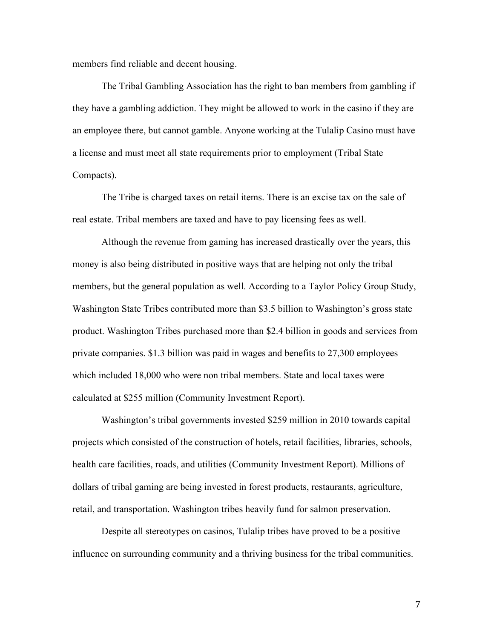members find reliable and decent housing.

The Tribal Gambling Association has the right to ban members from gambling if they have a gambling addiction. They might be allowed to work in the casino if they are an employee there, but cannot gamble. Anyone working at the Tulalip Casino must have a license and must meet all state requirements prior to employment (Tribal State Compacts).

The Tribe is charged taxes on retail items. There is an excise tax on the sale of real estate. Tribal members are taxed and have to pay licensing fees as well.

Although the revenue from gaming has increased drastically over the years, this money is also being distributed in positive ways that are helping not only the tribal members, but the general population as well. According to a Taylor Policy Group Study, Washington State Tribes contributed more than \$3.5 billion to Washington's gross state product. Washington Tribes purchased more than \$2.4 billion in goods and services from private companies. \$1.3 billion was paid in wages and benefits to 27,300 employees which included 18,000 who were non tribal members. State and local taxes were calculated at \$255 million (Community Investment Report).

Washington's tribal governments invested \$259 million in 2010 towards capital projects which consisted of the construction of hotels, retail facilities, libraries, schools, health care facilities, roads, and utilities (Community Investment Report). Millions of dollars of tribal gaming are being invested in forest products, restaurants, agriculture, retail, and transportation. Washington tribes heavily fund for salmon preservation.

Despite all stereotypes on casinos, Tulalip tribes have proved to be a positive influence on surrounding community and a thriving business for the tribal communities.